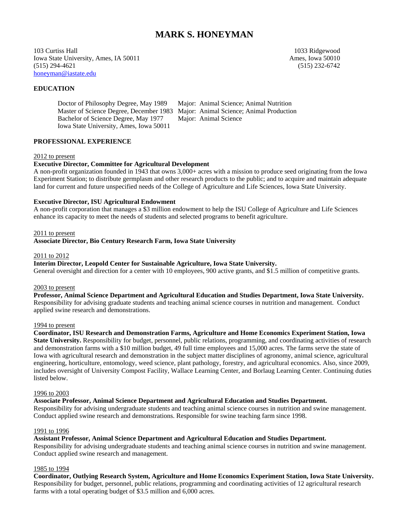# **MARK S. HONEYMAN**

103 Curtiss Hall 1033 Ridgewood Iowa State University, Ames, IA 50011 Ames, Iowa 50010 (515) 294-4621 (515) 232-6742 honeyman@iastate.edu

# **EDUCATION**

 Master of Science Degree, December 1983 Major: Animal Science; Animal Production Bachelor of Science Degree, May 1977 Major: Animal Science Iowa State University, Ames, Iowa 50011

Doctor of Philosophy Degree, May 1989 Major: Animal Science; Animal Nutrition

## **PROFESSIONAL EXPERIENCE**

### 2012 to present

## **Executive Director, Committee for Agricultural Development**

A non-profit organization founded in 1943 that owns 3,000+ acres with a mission to produce seed originating from the Iowa Experiment Station; to distribute germplasm and other research products to the public; and to acquire and maintain adequate land for current and future unspecified needs of the College of Agriculture and Life Sciences, Iowa State University.

## **Executive Director, ISU Agricultural Endowment**

A non-profit corporation that manages a \$3 million endowment to help the ISU College of Agriculture and Life Sciences enhance its capacity to meet the needs of students and selected programs to benefit agriculture.

#### 2011 to present

**Associate Director, Bio Century Research Farm, Iowa State University**

#### 2011 to 2012

#### **Interim Director, Leopold Center for Sustainable Agriculture, Iowa State University.**

General oversight and direction for a center with 10 employees, 900 active grants, and \$1.5 million of competitive grants.

### 2003 to present

**Professor, Animal Science Department and Agricultural Education and Studies Department, Iowa State University.**  Responsibility for advising graduate students and teaching animal science courses in nutrition and management. Conduct applied swine research and demonstrations.

#### 1994 to present

**Coordinator, ISU Research and Demonstration Farms, Agriculture and Home Economics Experiment Station, Iowa State University.** Responsibility for budget, personnel, public relations, programming, and coordinating activities of research and demonstration farms with a \$10 million budget, 49 full time employees and 15,000 acres. The farms serve the state of Iowa with agricultural research and demonstration in the subject matter disciplines of agronomy, animal science, agricultural engineering, horticulture, entomology, weed science, plant pathology, forestry, and agricultural economics. Also, since 2009, includes oversight of University Compost Facility, Wallace Learning Center, and Borlaug Learning Center. Continuing duties listed below.

#### 1996 to 2003

### **Associate Professor, Animal Science Department and Agricultural Education and Studies Department.**

Responsibility for advising undergraduate students and teaching animal science courses in nutrition and swine management. Conduct applied swine research and demonstrations. Responsible for swine teaching farm since 1998.

#### 1991 to 1996

## **Assistant Professor, Animal Science Department and Agricultural Education and Studies Department.**

Responsibility for advising undergraduate students and teaching animal science courses in nutrition and swine management. Conduct applied swine research and management.

#### 1985 to 1994

**Coordinator, Outlying Research System, Agriculture and Home Economics Experiment Station, Iowa State University.** Responsibility for budget, personnel, public relations, programming and coordinating activities of 12 agricultural research farms with a total operating budget of \$3.5 million and 6,000 acres.